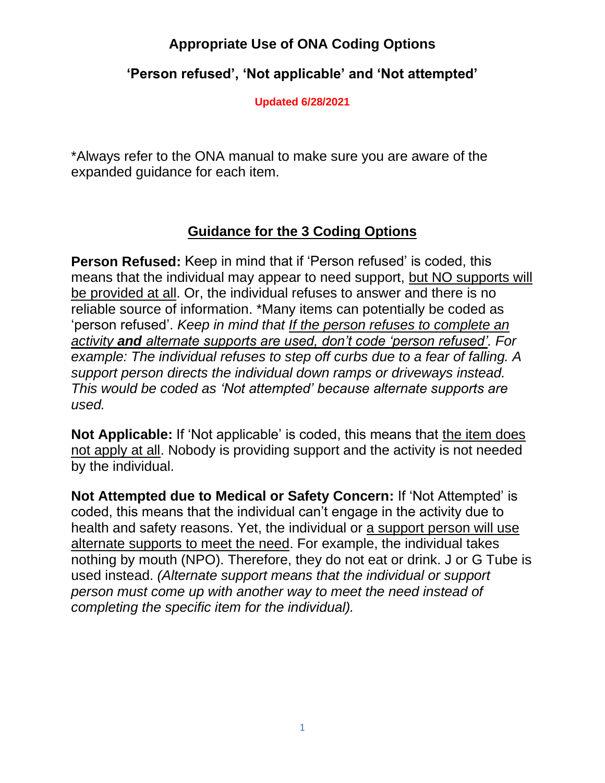### **'Person refused', 'Not applicable' and 'Not attempted'**

**Updated 6/28/2021**

\*Always refer to the ONA manual to make sure you are aware of the expanded guidance for each item.

### **Guidance for the 3 Coding Options**

**Person Refused:** Keep in mind that if 'Person refused' is coded, this means that the individual may appear to need support, but NO supports will be provided at all. Or, the individual refuses to answer and there is no reliable source of information. \*Many items can potentially be coded as 'person refused'. *Keep in mind that If the person refuses to complete an activity and alternate supports are used, don't code 'person refused'. For example: The individual refuses to step off curbs due to a fear of falling. A support person directs the individual down ramps or driveways instead. This would be coded as 'Not attempted' because alternate supports are used.* 

**Not Applicable:** If 'Not applicable' is coded, this means that the item does not apply at all. Nobody is providing support and the activity is not needed by the individual.

**Not Attempted due to Medical or Safety Concern:** If 'Not Attempted' is coded, this means that the individual can't engage in the activity due to health and safety reasons. Yet, the individual or a support person will use alternate supports to meet the need. For example, the individual takes nothing by mouth (NPO). Therefore, they do not eat or drink. J or G Tube is used instead. *(Alternate support means that the individual or support person must come up with another way to meet the need instead of completing the specific item for the individual).*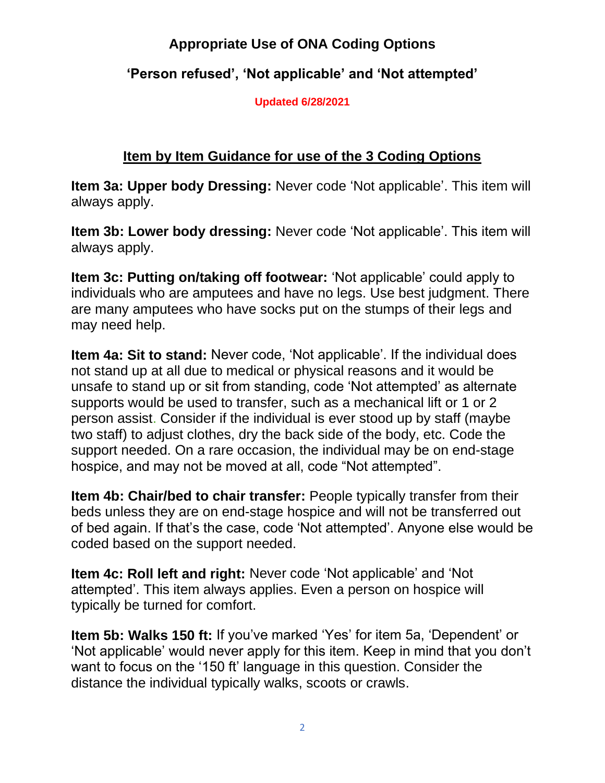### **'Person refused', 'Not applicable' and 'Not attempted'**

**Updated 6/28/2021**

### **Item by Item Guidance for use of the 3 Coding Options**

**Item 3a: Upper body Dressing:** Never code 'Not applicable'. This item will always apply.

**Item 3b: Lower body dressing:** Never code 'Not applicable'. This item will always apply.

**Item 3c: Putting on/taking off footwear:** 'Not applicable' could apply to individuals who are amputees and have no legs. Use best judgment. There are many amputees who have socks put on the stumps of their legs and may need help.

**Item 4a: Sit to stand:** Never code, 'Not applicable'. If the individual does not stand up at all due to medical or physical reasons and it would be unsafe to stand up or sit from standing, code 'Not attempted' as alternate supports would be used to transfer, such as a mechanical lift or 1 or 2 person assist. Consider if the individual is ever stood up by staff (maybe two staff) to adjust clothes, dry the back side of the body, etc. Code the support needed. On a rare occasion, the individual may be on end-stage hospice, and may not be moved at all, code "Not attempted".

**Item 4b: Chair/bed to chair transfer:** People typically transfer from their beds unless they are on end-stage hospice and will not be transferred out of bed again. If that's the case, code 'Not attempted'. Anyone else would be coded based on the support needed.

**Item 4c: Roll left and right:** Never code 'Not applicable' and 'Not attempted'. This item always applies. Even a person on hospice will typically be turned for comfort.

**Item 5b: Walks 150 ft:** If you've marked 'Yes' for item 5a, 'Dependent' or 'Not applicable' would never apply for this item. Keep in mind that you don't want to focus on the '150 ft' language in this question. Consider the distance the individual typically walks, scoots or crawls.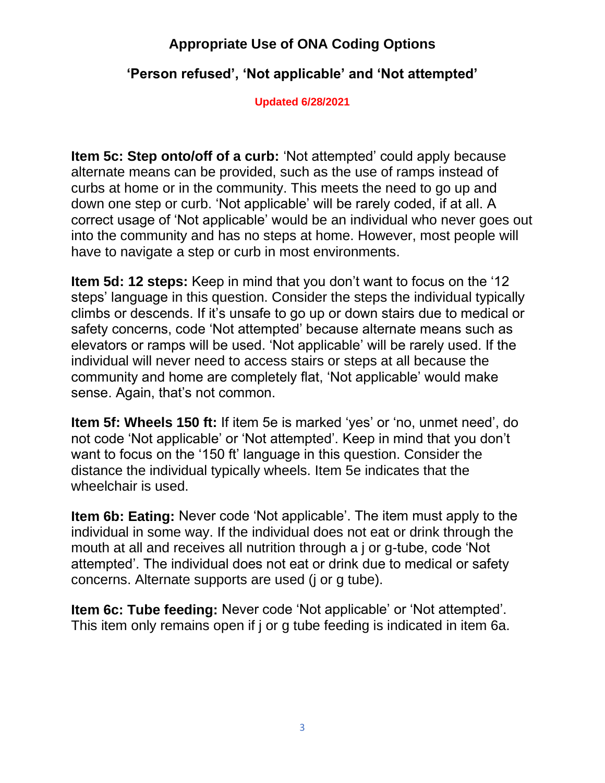### **'Person refused', 'Not applicable' and 'Not attempted'**

**Updated 6/28/2021**

**Item 5c: Step onto/off of a curb:** 'Not attempted' could apply because alternate means can be provided, such as the use of ramps instead of curbs at home or in the community. This meets the need to go up and down one step or curb. 'Not applicable' will be rarely coded, if at all. A correct usage of 'Not applicable' would be an individual who never goes out into the community and has no steps at home. However, most people will have to navigate a step or curb in most environments.

**Item 5d: 12 steps:** Keep in mind that you don't want to focus on the '12 steps' language in this question. Consider the steps the individual typically climbs or descends. If it's unsafe to go up or down stairs due to medical or safety concerns, code 'Not attempted' because alternate means such as elevators or ramps will be used. 'Not applicable' will be rarely used. If the individual will never need to access stairs or steps at all because the community and home are completely flat, 'Not applicable' would make sense. Again, that's not common.

**Item 5f: Wheels 150 ft:** If item 5e is marked 'yes' or 'no, unmet need', do not code 'Not applicable' or 'Not attempted'. Keep in mind that you don't want to focus on the '150 ft' language in this question. Consider the distance the individual typically wheels. Item 5e indicates that the wheelchair is used.

**Item 6b: Eating:** Never code 'Not applicable'. The item must apply to the individual in some way. If the individual does not eat or drink through the mouth at all and receives all nutrition through a j or g-tube, code 'Not attempted'. The individual does not eat or drink due to medical or safety concerns. Alternate supports are used (j or g tube).

**Item 6c: Tube feeding:** Never code 'Not applicable' or 'Not attempted'. This item only remains open if j or g tube feeding is indicated in item 6a.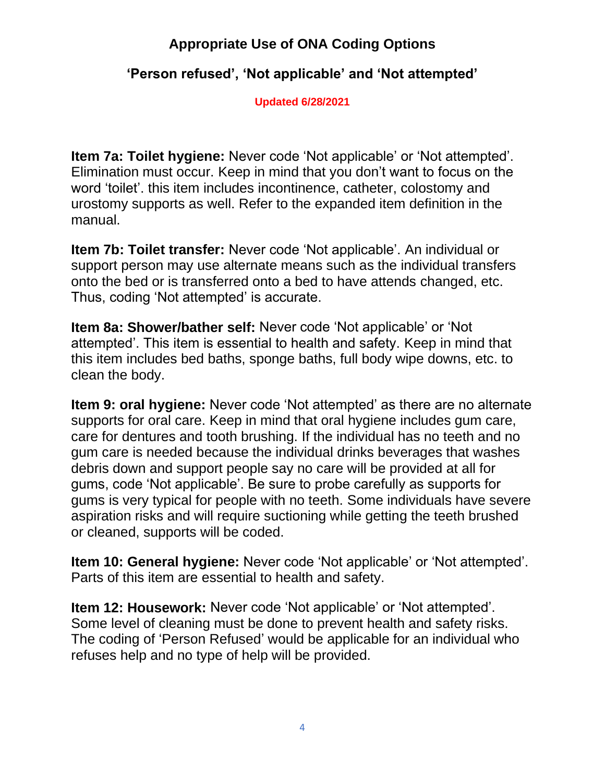### **'Person refused', 'Not applicable' and 'Not attempted'**

**Updated 6/28/2021**

**Item 7a: Toilet hygiene:** Never code 'Not applicable' or 'Not attempted'. Elimination must occur. Keep in mind that you don't want to focus on the word 'toilet'. this item includes incontinence, catheter, colostomy and urostomy supports as well. Refer to the expanded item definition in the manual.

**Item 7b: Toilet transfer:** Never code 'Not applicable'. An individual or support person may use alternate means such as the individual transfers onto the bed or is transferred onto a bed to have attends changed, etc. Thus, coding 'Not attempted' is accurate.

**Item 8a: Shower/bather self:** Never code 'Not applicable' or 'Not attempted'. This item is essential to health and safety. Keep in mind that this item includes bed baths, sponge baths, full body wipe downs, etc. to clean the body.

**Item 9: oral hygiene:** Never code 'Not attempted' as there are no alternate supports for oral care. Keep in mind that oral hygiene includes gum care, care for dentures and tooth brushing. If the individual has no teeth and no gum care is needed because the individual drinks beverages that washes debris down and support people say no care will be provided at all for gums, code 'Not applicable'. Be sure to probe carefully as supports for gums is very typical for people with no teeth. Some individuals have severe aspiration risks and will require suctioning while getting the teeth brushed or cleaned, supports will be coded.

**Item 10: General hygiene:** Never code 'Not applicable' or 'Not attempted'. Parts of this item are essential to health and safety.

**Item 12: Housework:** Never code 'Not applicable' or 'Not attempted'. Some level of cleaning must be done to prevent health and safety risks. The coding of 'Person Refused' would be applicable for an individual who refuses help and no type of help will be provided.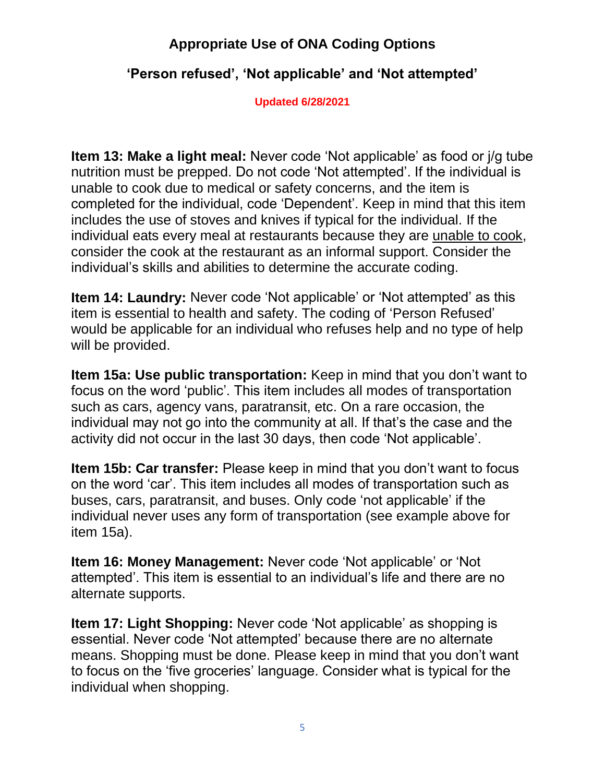### **'Person refused', 'Not applicable' and 'Not attempted'**

**Updated 6/28/2021**

**Item 13: Make a light meal:** Never code 'Not applicable' as food or j/g tube nutrition must be prepped. Do not code 'Not attempted'. If the individual is unable to cook due to medical or safety concerns, and the item is completed for the individual, code 'Dependent'. Keep in mind that this item includes the use of stoves and knives if typical for the individual. If the individual eats every meal at restaurants because they are unable to cook, consider the cook at the restaurant as an informal support. Consider the individual's skills and abilities to determine the accurate coding.

**Item 14: Laundry:** Never code 'Not applicable' or 'Not attempted' as this item is essential to health and safety. The coding of 'Person Refused' would be applicable for an individual who refuses help and no type of help will be provided.

**Item 15a: Use public transportation:** Keep in mind that you don't want to focus on the word 'public'. This item includes all modes of transportation such as cars, agency vans, paratransit, etc. On a rare occasion, the individual may not go into the community at all. If that's the case and the activity did not occur in the last 30 days, then code 'Not applicable'.

**Item 15b: Car transfer:** Please keep in mind that you don't want to focus on the word 'car'. This item includes all modes of transportation such as buses, cars, paratransit, and buses. Only code 'not applicable' if the individual never uses any form of transportation (see example above for item 15a).

**Item 16: Money Management:** Never code 'Not applicable' or 'Not attempted'. This item is essential to an individual's life and there are no alternate supports.

**Item 17: Light Shopping:** Never code 'Not applicable' as shopping is essential. Never code 'Not attempted' because there are no alternate means. Shopping must be done. Please keep in mind that you don't want to focus on the 'five groceries' language. Consider what is typical for the individual when shopping.